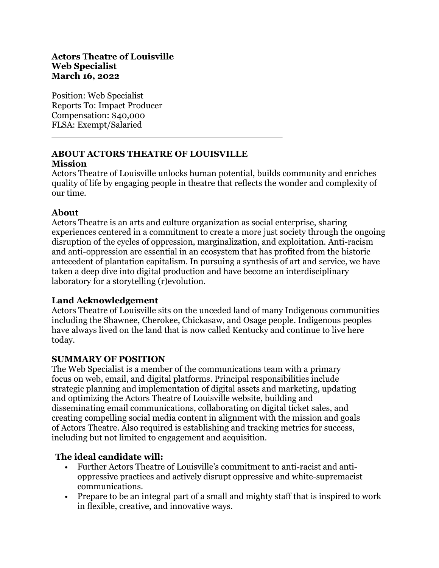Position: Web Specialist Reports To: Impact Producer Compensation: \$40,000 FLSA: Exempt/Salaried

# **ABOUT ACTORS THEATRE OF LOUISVILLE**

#### **Mission**

Actors Theatre of Louisville unlocks human potential, builds community and enriches quality of life by engaging people in theatre that reflects the wonder and complexity of our time.

### **About**

Actors Theatre is an arts and culture organization as social enterprise, sharing experiences centered in a commitment to create a more just society through the ongoing disruption of the cycles of oppression, marginalization, and exploitation. Anti-racism and anti-oppression are essential in an ecosystem that has profited from the historic antecedent of plantation capitalism. In pursuing a synthesis of art and service, we have taken a deep dive into digital production and have become an interdisciplinary laboratory for a storytelling (r)evolution.

# **Land Acknowledgement**

Actors Theatre of Louisville sits on the unceded land of many Indigenous communities including the Shawnee, Cherokee, Chickasaw, and Osage people. Indigenous peoples have always lived on the land that is now called Kentucky and continue to live here today.

# **SUMMARY OF POSITION**

The Web Specialist is a member of the communications team with a primary focus on web, email, and digital platforms. Principal responsibilities include strategic planning and implementation of digital assets and marketing, updating and optimizing the Actors Theatre of Louisville website, building and disseminating email communications, collaborating on digital ticket sales, and creating compelling social media content in alignment with the mission and goals of Actors Theatre. Also required is establishing and tracking metrics for success, including but not limited to engagement and acquisition.

# **The ideal candidate will:**

- Further Actors Theatre of Louisville's commitment to anti-racist and antioppressive practices and actively disrupt oppressive and white-supremacist communications.
- Prepare to be an integral part of a small and mighty staff that is inspired to work in flexible, creative, and innovative ways.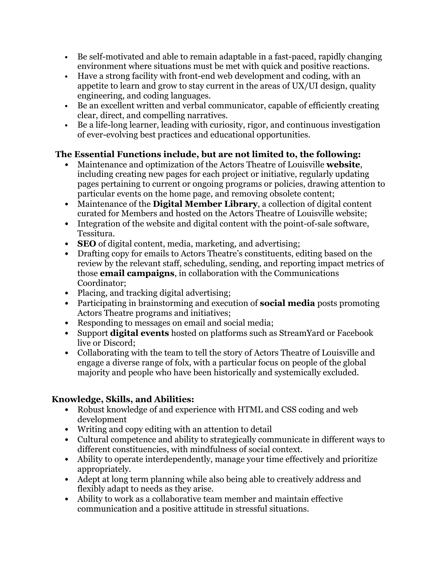- Be self-motivated and able to remain adaptable in a fast-paced, rapidly changing environment where situations must be met with quick and positive reactions.
- Have a strong facility with front-end web development and coding, with an appetite to learn and grow to stay current in the areas of UX/UI design, quality engineering, and coding languages.
- Be an excellent written and verbal communicator, capable of efficiently creating clear, direct, and compelling narratives.
- Be a life-long learner, leading with curiosity, rigor, and continuous investigation of ever-evolving best practices and educational opportunities.

### **The Essential Functions include, but are not limited to, the following:**

- Maintenance and optimization of the Actors Theatre of Louisville **website**, including creating new pages for each project or initiative, regularly updating pages pertaining to current or ongoing programs or policies, drawing attention to particular events on the home page, and removing obsolete content;
- Maintenance of the **Digital Member Library**, a collection of digital content curated for Members and hosted on the Actors Theatre of Louisville website;
- Integration of the website and digital content with the point-of-sale software, Tessitura.
- **SEO** of digital content, media, marketing, and advertising;
- Drafting copy for emails to Actors Theatre's constituents, editing based on the review by the relevant staff, scheduling, sending, and reporting impact metrics of those **email campaigns**, in collaboration with the Communications Coordinator;
- Placing, and tracking digital advertising;
- Participating in brainstorming and execution of **social media** posts promoting Actors Theatre programs and initiatives;
- Responding to messages on email and social media;
- Support **digital events** hosted on platforms such as StreamYard or Facebook live or Discord;
- Collaborating with the team to tell the story of Actors Theatre of Louisville and engage a diverse range of folx, with a particular focus on people of the global majority and people who have been historically and systemically excluded.

# **Knowledge, Skills, and Abilities:**

- Robust knowledge of and experience with HTML and CSS coding and web development
- Writing and copy editing with an attention to detail
- Cultural competence and ability to strategically communicate in different ways to different constituencies, with mindfulness of social context.
- Ability to operate interdependently, manage your time effectively and prioritize appropriately.
- Adept at long term planning while also being able to creatively address and flexibly adapt to needs as they arise.
- Ability to work as a collaborative team member and maintain effective communication and a positive attitude in stressful situations.